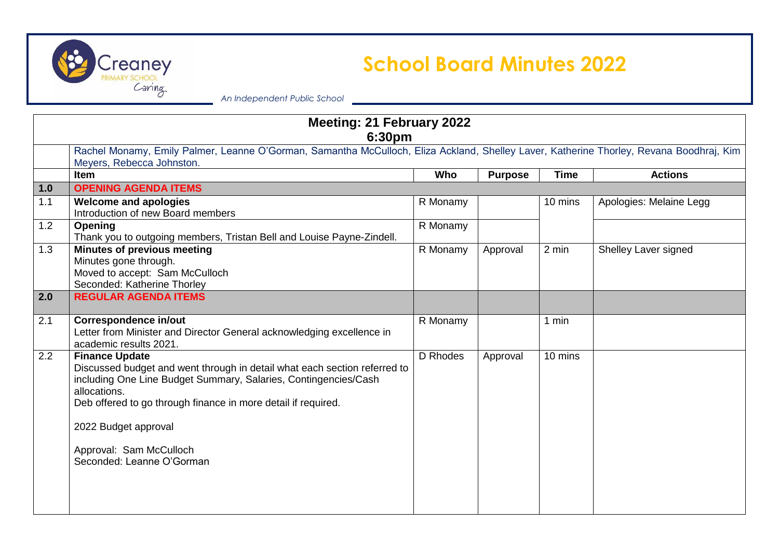

## **Creancy School Board Minutes 2022**

*An Independent Public School*

| <b>Meeting: 21 February 2022</b><br>6:30pm |                                                                                                                                                                                                                                                                                                                                        |          |                |             |                         |  |
|--------------------------------------------|----------------------------------------------------------------------------------------------------------------------------------------------------------------------------------------------------------------------------------------------------------------------------------------------------------------------------------------|----------|----------------|-------------|-------------------------|--|
|                                            | Rachel Monamy, Emily Palmer, Leanne O'Gorman, Samantha McCulloch, Eliza Ackland, Shelley Laver, Katherine Thorley, Revana Boodhraj, Kim<br>Meyers, Rebecca Johnston.                                                                                                                                                                   |          |                |             |                         |  |
|                                            | Item                                                                                                                                                                                                                                                                                                                                   | Who      | <b>Purpose</b> | <b>Time</b> | <b>Actions</b>          |  |
| 1.0                                        | <b>OPENING AGENDA ITEMS</b>                                                                                                                                                                                                                                                                                                            |          |                |             |                         |  |
| 1.1                                        | <b>Welcome and apologies</b><br>Introduction of new Board members                                                                                                                                                                                                                                                                      | R Monamy |                | 10 mins     | Apologies: Melaine Legg |  |
| 1.2                                        | Opening<br>Thank you to outgoing members, Tristan Bell and Louise Payne-Zindell.                                                                                                                                                                                                                                                       | R Monamy |                |             |                         |  |
| 1.3                                        | <b>Minutes of previous meeting</b><br>Minutes gone through.<br>Moved to accept: Sam McCulloch<br>Seconded: Katherine Thorley                                                                                                                                                                                                           | R Monamy | Approval       | 2 min       | Shelley Laver signed    |  |
| 2.0                                        | <b>REGULAR AGENDA ITEMS</b>                                                                                                                                                                                                                                                                                                            |          |                |             |                         |  |
| 2.1                                        | <b>Correspondence in/out</b><br>Letter from Minister and Director General acknowledging excellence in<br>academic results 2021.                                                                                                                                                                                                        | R Monamy |                | 1 min       |                         |  |
| 2.2                                        | <b>Finance Update</b><br>Discussed budget and went through in detail what each section referred to<br>including One Line Budget Summary, Salaries, Contingencies/Cash<br>allocations.<br>Deb offered to go through finance in more detail if required.<br>2022 Budget approval<br>Approval: Sam McCulloch<br>Seconded: Leanne O'Gorman | D Rhodes | Approval       | 10 mins     |                         |  |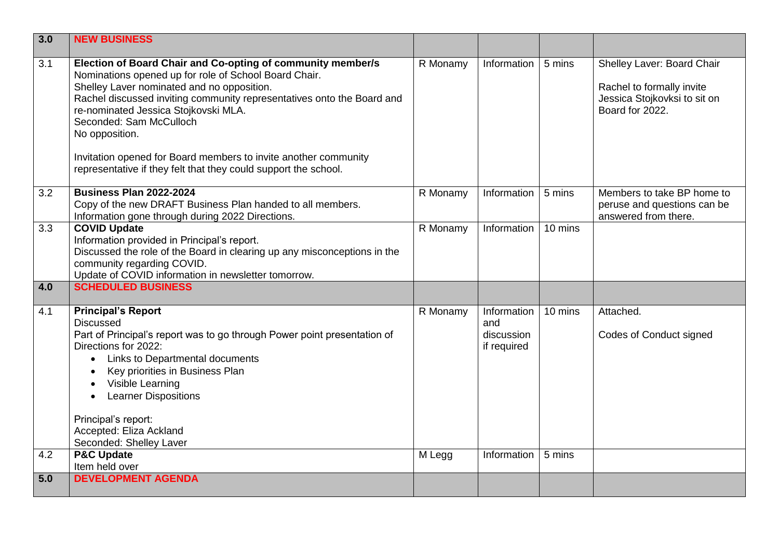| 3.0              | <b>NEW BUSINESS</b>                                                                                                                                                                                                                                                                                                                                                                                                                                                     |          |                                                 |         |                                                                                                            |
|------------------|-------------------------------------------------------------------------------------------------------------------------------------------------------------------------------------------------------------------------------------------------------------------------------------------------------------------------------------------------------------------------------------------------------------------------------------------------------------------------|----------|-------------------------------------------------|---------|------------------------------------------------------------------------------------------------------------|
| $\overline{3.1}$ | Election of Board Chair and Co-opting of community member/s<br>Nominations opened up for role of School Board Chair.<br>Shelley Laver nominated and no opposition.<br>Rachel discussed inviting community representatives onto the Board and<br>re-nominated Jessica Stojkovski MLA.<br>Seconded: Sam McCulloch<br>No opposition.<br>Invitation opened for Board members to invite another community<br>representative if they felt that they could support the school. | R Monamy | Information                                     | 5 mins  | Shelley Laver: Board Chair<br>Rachel to formally invite<br>Jessica Stojkovksi to sit on<br>Board for 2022. |
| 3.2              | <b>Business Plan 2022-2024</b><br>Copy of the new DRAFT Business Plan handed to all members.<br>Information gone through during 2022 Directions.                                                                                                                                                                                                                                                                                                                        | R Monamy | Information                                     | 5 mins  | Members to take BP home to<br>peruse and questions can be<br>answered from there.                          |
| 3.3<br>4.0       | <b>COVID Update</b><br>Information provided in Principal's report.<br>Discussed the role of the Board in clearing up any misconceptions in the<br>community regarding COVID.<br>Update of COVID information in newsletter tomorrow.<br><b>SCHEDULED BUSINESS</b>                                                                                                                                                                                                        | R Monamy | Information                                     | 10 mins |                                                                                                            |
| 4.1              | <b>Principal's Report</b><br><b>Discussed</b><br>Part of Principal's report was to go through Power point presentation of<br>Directions for 2022:<br>Links to Departmental documents<br>$\bullet$<br>Key priorities in Business Plan<br>Visible Learning<br><b>Learner Dispositions</b><br>Principal's report:<br>Accepted: Eliza Ackland<br>Seconded: Shelley Laver                                                                                                    | R Monamy | Information<br>and<br>discussion<br>if required | 10 mins | Attached.<br>Codes of Conduct signed                                                                       |
| 4.2              | <b>P&amp;C Update</b><br>Item held over                                                                                                                                                                                                                                                                                                                                                                                                                                 | M Legg   | Information                                     | 5 mins  |                                                                                                            |
| 5.0              | <b>DEVELOPMENT AGENDA</b>                                                                                                                                                                                                                                                                                                                                                                                                                                               |          |                                                 |         |                                                                                                            |